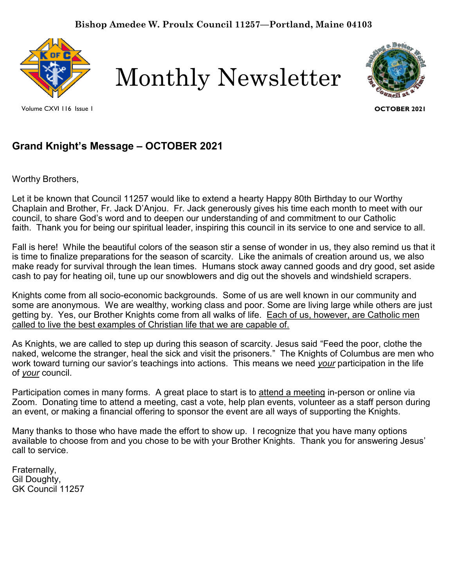

Volume CXVI 116 Issue 1

Monthly Newsletter



**OCTOBER 2021**

# **Grand Knight's Message – OCTOBER 2021**

Worthy Brothers,

Let it be known that Council 11257 would like to extend a hearty Happy 80th Birthday to our Worthy Chaplain and Brother, Fr. Jack D'Anjou. Fr. Jack generously gives his time each month to meet with our council, to share God's word and to deepen our understanding of and commitment to our Catholic faith. Thank you for being our spiritual leader, inspiring this council in its service to one and service to all.

Fall is here! While the beautiful colors of the season stir a sense of wonder in us, they also remind us that it is time to finalize preparations for the season of scarcity. Like the animals of creation around us, we also make ready for survival through the lean times. Humans stock away canned goods and dry good, set aside cash to pay for heating oil, tune up our snowblowers and dig out the shovels and windshield scrapers.

Knights come from all socio-economic backgrounds. Some of us are well known in our community and some are anonymous. We are wealthy, working class and poor. Some are living large while others are just getting by. Yes, our Brother Knights come from all walks of life. Each of us, however, are Catholic men called to live the best examples of Christian life that we are capable of.

As Knights, we are called to step up during this season of scarcity. Jesus said "Feed the poor, clothe the naked, welcome the stranger, heal the sick and visit the prisoners." The Knights of Columbus are men who work toward turning our savior's teachings into actions. This means we need *your* participation in the life of *your* council.

Participation comes in many forms. A great place to start is to attend a meeting in-person or online via Zoom. Donating time to attend a meeting, cast a vote, help plan events, volunteer as a staff person during an event, or making a financial offering to sponsor the event are all ways of supporting the Knights.

Many thanks to those who have made the effort to show up. I recognize that you have many options available to choose from and you chose to be with your Brother Knights. Thank you for answering Jesus' call to service.

Fraternally, Gil Doughty, GK Council 11257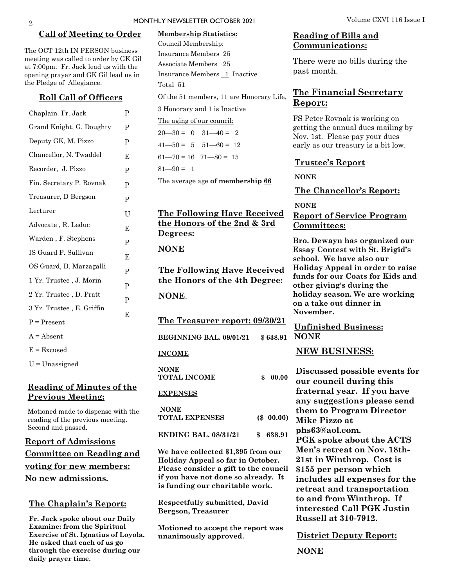#### **Call of Meeting to Order**

The OCT 12th IN PERSON business meeting was called to order by GK Gil at 7:00pm. Fr. Jack lead us with the opening prayer and GK Gil lead us in the Pledge of Allegiance.

#### **Roll Call of Officers**

| Chaplain Fr. Jack         | P            |
|---------------------------|--------------|
| Grand Knight, G. Doughty  | P            |
| Deputy GK, M. Pizzo       | P            |
| Chancellor, N. Twaddel    | E            |
| Recorder, J. Pizzo        | P            |
| Fin. Secretary P. Rovnak  | P            |
| Treasurer, D Bergson      | P            |
| Lecturer                  | U            |
| Advocate, R. Leduc        | E            |
| Warden, F. Stephens       | P            |
| IS Guard P. Sullivan      | Е            |
| OS Guard, D. Marzagalli   | P            |
| 1 Yr. Trustee, J. Morin   | $\mathbf{P}$ |
| 2 Yr. Trustee, D. Pratt   | P            |
| 3 Yr. Trustee, E. Griffin | E            |
| $P = Present$             |              |
| $A = Absent$              |              |
| $E = Excused$             |              |
|                           |              |

U = Unassigned

### **Reading of Minutes of the Previous Meeting:**

Motioned made to dispense with the reading of the previous meeting. Second and passed.

**Report of Admissions Committee on Reading and voting for new members: No new admissions.** 

### **The Chaplain's Report:**

**Fr. Jack spoke about our Daily Examine: from the Spiritual Exercise of St. Ignatius of Loyola. He asked that each of us go through the exercise during our daily prayer time.**

# **Membership Statistics:**  Council Membership: Insurance Members 25 Associate Members 25 Insurance Members 1 Inactive Total 51 Of the 51 members, 11 are Honorary Life, 3 Honorary and 1 is Inactive The aging of our council:  $20 - 30 = 0$   $31 - 40 = 2$  $41 - 50 = 5$   $51 - 60 = 12$  $61 - 70 = 16$   $71 - 80 = 15$

 $81 - 90 = 1$ 

The average age **of membership 66**

## **The Following Have Received the Honors of the 2nd & 3rd Degrees:**

**NONE** 

**The Following Have Received the Honors of the 4th Degree: NONE**.

**The Treasurer report: 09/30/21**

**BEGINNING BAL. 09/01/21** 

#### **INCOME**

**NONE TOTAL INCOME \$ 00.00 EXPENSES NONE TOTAL EXPENSES (\$ 00.00)** 

**ENDING BAL. 08/31/21 \$ 638.91**

**We have collected \$1,395 from our Holiday Appeal so far in October. Please consider a gift to the council if you have not done so already. It is funding our charitable work.** 

**Respectfully submitted, David Bergson, Treasurer**

**Motioned to accept the report was unanimously approved.**

### **Reading of Bills and Communications:**

There were no bills during the past month.

# **The Financial Secretary Report:**

FS Peter Rovnak is working on getting the annual dues mailing by Nov. 1st. Please pay your dues early as our treasury is a bit low.

#### **Trustee's Report**

**NONE**

**The Chancellor's Report:** 

**NONE**

## **Report of Service Program Committees:**

**Bro. Dewayn has organized our Essay Contest with St. Brigid's school. We have also our Holiday Appeal in order to raise funds for our Coats for Kids and other giving's during the holiday season. We are working on a take out dinner in November.**

**Unfinished Business: \$638.91 NONE** 

#### **NEW BUSINESS:**

**Discussed possible events for our council during this fraternal year. If you have any suggestions please send them to Program Director Mike Pizzo at phs63@aol.com. PGK spoke about the ACTS Men's retreat on Nov. 18th-21st in Winthrop. Cost is \$155 per person which includes all expenses for the retreat and transportation to and from Winthrop. If interested Call PGK Justin Russell at 310-7912.**

**District Deputy Report:**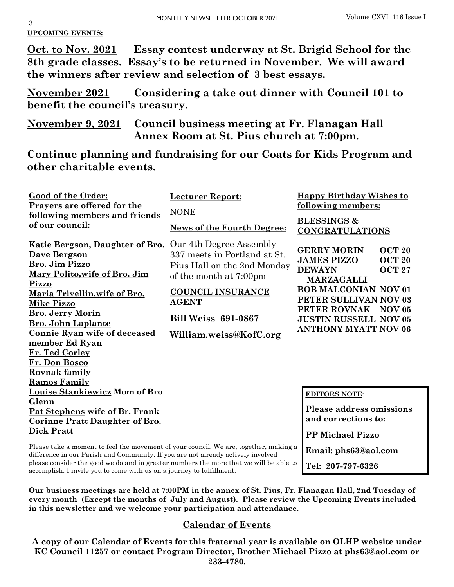**Email: phs63@aol.com**

**Tel: 207-797-6326**

**UPCOMING EVENTS:**

**Oct. to Nov. 2021 Essay contest underway at St. Brigid School for the 8th grade classes. Essay's to be returned in November. We will award the winners after review and selection of 3 best essays.**

**November 2021 Considering a take out dinner with Council 101 to benefit the council's treasury.**

**November 9, 2021 Council business meeting at Fr. Flanagan Hall Annex Room at St. Pius church at 7:00pm.** 

**Continue planning and fundraising for our Coats for Kids Program and other charitable events.** 

| <b>Good of the Order:</b><br>Prayers are offered for the<br>following members and friends<br>of our council:                                                                                                                                                                                                                                                                | <b>Lecturer Report:</b><br><b>NONE</b>                                                                                                                                                                               | <b>Happy Birthday Wishes to</b><br>following members:                                                                                                                                                                                                                                         |  |
|-----------------------------------------------------------------------------------------------------------------------------------------------------------------------------------------------------------------------------------------------------------------------------------------------------------------------------------------------------------------------------|----------------------------------------------------------------------------------------------------------------------------------------------------------------------------------------------------------------------|-----------------------------------------------------------------------------------------------------------------------------------------------------------------------------------------------------------------------------------------------------------------------------------------------|--|
|                                                                                                                                                                                                                                                                                                                                                                             | <b>News of the Fourth Degree:</b>                                                                                                                                                                                    | <b>BLESSINGS &amp;</b><br><b>CONGRATULATIONS</b>                                                                                                                                                                                                                                              |  |
| Katie Bergson, Daughter of Bro.<br><b>Dave Bergson</b><br>Bro. Jim Pizzo<br><u>Mary Polito, wife of Bro. Jim</u><br>Pizzo<br><u>Maria Trivellin, wife of Bro.</u><br>Mike Pizzo<br><b>Bro. Jerry Morin</b><br><b>Bro. John Laplante</b><br>Connie Ryan wife of deceased<br>member Ed Ryan<br>Fr. Ted Corley<br>Fr. Don Bosco<br><b>Rovnak family</b><br><b>Ramos Family</b> | Our 4th Degree Assembly<br>337 meets in Portland at St.<br>Pius Hall on the 2nd Monday<br>of the month at 7:00pm<br><b>COUNCIL INSURANCE</b><br><b>AGENT</b><br><b>Bill Weiss 691-0867</b><br>William.weiss@KofC.org | <b>GERRY MORIN</b><br><b>OCT 20</b><br><b>JAMES PIZZO</b><br><b>OCT 20</b><br><b>DEWAYN</b><br><b>OCT 27</b><br><b>MARZAGALLI</b><br><b>BOB MALCONIAN NOV 01</b><br>PETER SULLIVAN NOV 03<br>PETER ROVNAK<br>NOV <sub>05</sub><br><b>JUSTIN RUSSELL NOV 05</b><br><b>ANTHONY MYATT NOV 06</b> |  |
| Louise Stankiewicz Mom of Bro<br>Glenn<br>Pat Stephens wife of Br. Frank<br><b>Corinne Pratt Daughter of Bro.</b><br><b>Dick Pratt</b>                                                                                                                                                                                                                                      |                                                                                                                                                                                                                      | <b>EDITORS NOTE:</b><br><b>Please address omissions</b><br>and corrections to:<br><b>PP Michael Pizzo</b>                                                                                                                                                                                     |  |

Please take a moment to feel the movement of your council. We are, together, making a difference in our Parish and Community. If you are not already actively involved please consider the good we do and in greater numbers the more that we will be able to accomplish. I invite you to come with us on a journey to fulfillment.

**Our business meetings are held at 7:00PM in the annex of St. Pius, Fr. Flanagan Hall, 2nd Tuesday of every month (Except the months of July and August). Please review the Upcoming Events included in this newsletter and we welcome your participation and attendance.** 

# **Calendar of Events**

**A copy of our Calendar of Events for this fraternal year is available on OLHP website under KC Council 11257 or contact Program Director, Brother Michael Pizzo at phs63@aol.com or 233-4780.**

3